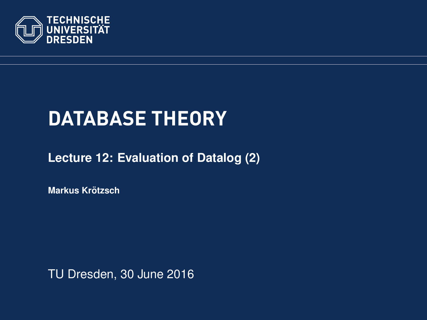<span id="page-0-0"></span>

# **DATABASE THEORY**

**[Lecture 12: Evaluation of Datalog \(2\)](https://ddll.inf.tu-dresden.de/web/Database_Theory_%28SS2016%29/en)**

**[Markus Krotzsch](http://korrekt.org/) ¨**

TU Dresden, 30 June 2016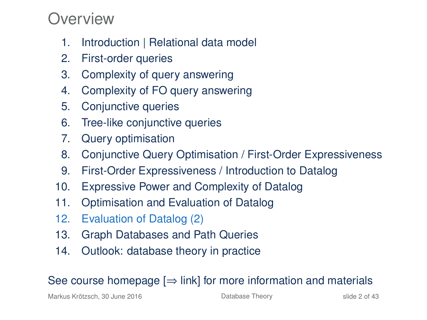#### Overview

- 1. Introduction | Relational data model
- 2. First-order queries
- 3. Complexity of query answering
- 4. Complexity of FO query answering
- 5. Conjunctive queries
- 6. Tree-like conjunctive queries
- 7. Query optimisation
- 8. Conjunctive Query Optimisation / First-Order Expressiveness
- 9. First-Order Expressiveness / Introduction to Datalog
- 10. Expressive Power and Complexity of Datalog
- 11. Optimisation and Evaluation of Datalog
- 12. Evaluation of Datalog (2)
- 13. Graph Databases and Path Queries
- 14. Outlook: database theory in practice

#### See course homepage  $[\Rightarrow]$  link] for more information and materials

Markus Krötzsch, 30 June 2016 **[Database Theory](#page-0-0)** Charles Controlled 2 of 43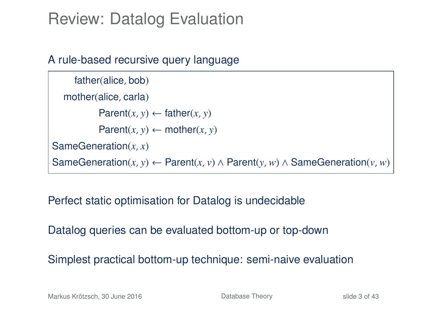# Review: Datalog Evaluation

#### A rule-based recursive query language

```
father(alice, bob)
  mother(alice, carla)
           Parent(x, y) \leftarrow father(x, y)Parent(x, y) \leftarrow mother(x, y)SameGeneration(x, x)
SameGeneration(x, y) ← Parent(x, v) ∧ Parent(y, w) ∧ SameGeneration(v, w)
```
#### Perfect static optimisation for Datalog is undecidable

Datalog queries can be evaluated bottom-up or top-down

Simplest practical bottom-up technique: semi-naive evaluation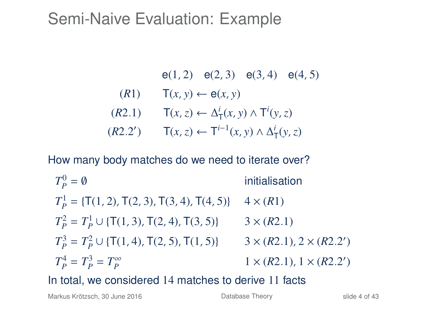### Semi-Naive Evaluation: Example

\n- $$
e(1, 2) \quad e(2, 3) \quad e(3, 4) \quad e(4, 5)
$$
\n- $(R1) \quad T(x, y) \leftarrow e(x, y)$
\n- $(R2.1) \quad T(x, z) \leftarrow \Delta^i_T(x, y) \wedge T^i(y, z)$
\n- $(R2.2') \quad T(x, z) \leftarrow T^{i-1}(x, y) \wedge \Delta^i_T(y, z)$
\n

How many body matches do we need to iterate over?

$$
T_p^0 = \emptyset
$$
 initialisation  
\n
$$
T_p^1 = \{T(1, 2), T(2, 3), T(3, 4), T(4, 5)\} \quad 4 \times (R1)
$$
  
\n
$$
T_p^2 = T_p^1 \cup \{T(1, 3), T(2, 4), T(3, 5)\} \quad 3 \times (R2.1)
$$
  
\n
$$
T_p^3 = T_p^2 \cup \{T(1, 4), T(2, 5), T(1, 5)\} \quad 3 \times (R2.1), 2 \times (R2.2')
$$
  
\n
$$
T_p^4 = T_p^3 = T_p^{\infty} \quad 1 \times (R2.1), 1 \times (R2.2')
$$

In total, we considered 14 matches to derive 11 facts

Markus Krötzsch, 30 June 2016 **[Database Theory](#page-0-0)** Database Theory slide 4 of 43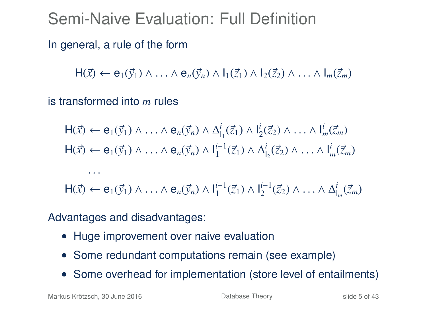# Semi-Naive Evaluation: Full Definition

In general, a rule of the form

 $H(\vec{x}) \leftarrow e_1(\vec{y}_1) \wedge \ldots \wedge e_n(\vec{y}_n) \wedge l_1(\vec{z}_1) \wedge l_2(\vec{z}_2) \wedge \ldots \wedge l_m(\vec{z}_m)$ 

is transformed into *m* rules

$$
\begin{aligned}\n\mathsf{H}(\vec{x}) &\leftarrow \mathsf{e}_1(\vec{y}_1) \land \ldots \land \mathsf{e}_n(\vec{y}_n) \land \Delta_{l_1}^i(\vec{z}_1) \land \mathsf{l}_2^i(\vec{z}_2) \land \ldots \land \mathsf{l}_m^i(\vec{z}_m) \\
\mathsf{H}(\vec{x}) &\leftarrow \mathsf{e}_1(\vec{y}_1) \land \ldots \land \mathsf{e}_n(\vec{y}_n) \land \mathsf{l}_1^{i-1}(\vec{z}_1) \land \Delta_{l_2}^i(\vec{z}_2) \land \ldots \land \mathsf{l}_m^i(\vec{z}_m)\n\end{aligned}
$$

 $H(\vec{x}) \leftarrow e_1(\vec{y}_1) \wedge \ldots \wedge e_n(\vec{y}_n) \wedge I_1^{i-1}(\vec{z}_1) \wedge I_2^{i-1}(\vec{z}_2) \wedge \ldots \wedge \Delta I_m^{i}(\vec{z}_m)$ 

Advantages and disadvantages:

- Huge improvement over naive evaluation
- Some redundant computations remain (see example)
- Some overhead for implementation (store level of entailments)

Markus Krötzsch, 30 June 2016 **[Database Theory](#page-0-0)** Database Theory slide 5 of 43

 $\cdots$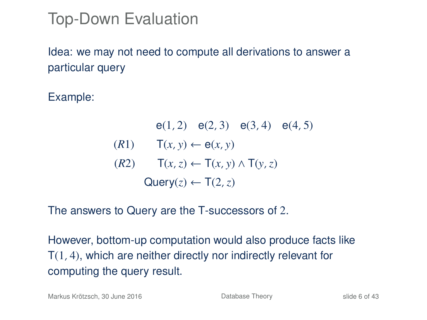# Top-Down Evaluation

Idea: we may not need to compute all derivations to answer a particular query

Example:

e(1, 2) e(2, 3) e(3, 4) e(4, 5)  $(T(x, y) \leftarrow e(x, y)$ (*R*2) T(*x*,*z*) ← T(*x*, *y*) ∧ T(*y*,*z*)  $Query(z) \leftarrow T(2, z)$ 

The answers to Query are the T-successors of 2.

However, bottom-up computation would also produce facts like T(1, 4), which are neither directly nor indirectly relevant for computing the query result.

Markus Krötzsch, 30 June 2016 **[Database Theory](#page-0-0)** Database Theory slide 6 of 43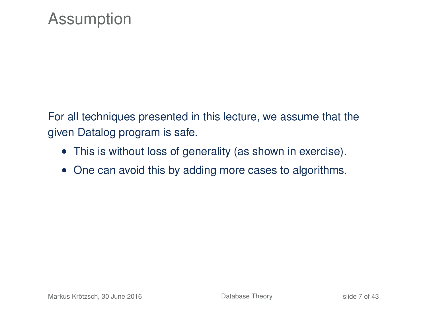For all techniques presented in this lecture, we assume that the given Datalog program is safe.

- This is without loss of generality (as shown in exercise).
- One can avoid this by adding more cases to algorithms.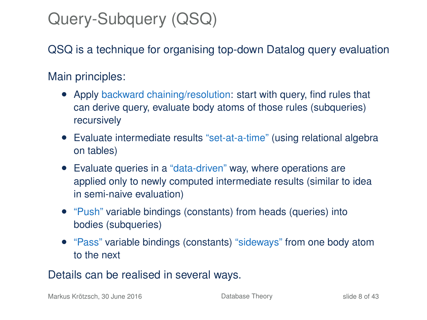# Query-Subquery (QSQ)

QSQ is a technique for organising top-down Datalog query evaluation

#### Main principles:

- Apply backward chaining/resolution: start with query, find rules that can derive query, evaluate body atoms of those rules (subqueries) recursively
- Evaluate intermediate results "set-at-a-time" (using relational algebra on tables)
- Evaluate queries in a "data-driven" way, where operations are applied only to newly computed intermediate results (similar to idea in semi-naive evaluation)
- "Push" variable bindings (constants) from heads (queries) into bodies (subqueries)
- "Pass" variable bindings (constants) "sideways" from one body atom to the next

#### Details can be realised in several ways.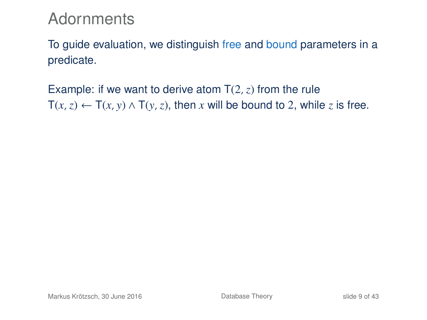#### **Adornments**

To guide evaluation, we distinguish free and bound parameters in a predicate.

Example: if we want to derive atom  $T(2, z)$  from the rule  $T(x, z) \leftarrow T(x, y) \wedge T(y, z)$ , then *x* will be bound to 2, while *z* is free.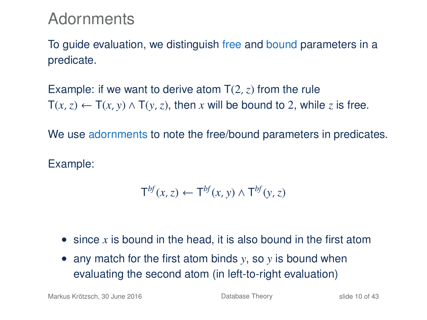#### **Adornments**

To guide evaluation, we distinguish free and bound parameters in a predicate.

Example: if we want to derive atom  $T(2, z)$  from the rule  $T(x, z) \leftarrow T(x, y) \wedge T(y, z)$ , then *x* will be bound to 2, while *z* is free.

We use adornments to note the free/bound parameters in predicates.

Example:

$$
\mathsf{T}^{bf}(x,z) \leftarrow \mathsf{T}^{bf}(x,y) \wedge \mathsf{T}^{bf}(y,z)
$$

- since *x* is bound in the head, it is also bound in the first atom
- any match for the first atom binds *y*, so *y* is bound when evaluating the second atom (in left-to-right evaluation)

Markus Krötzsch, 30 June 2016 **[Database Theory](#page-0-0)** Slide 10 of 43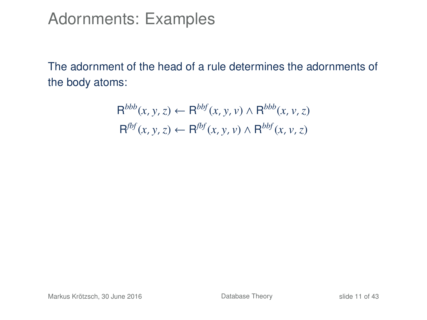#### Adornments: Examples

The adornment of the head of a rule determines the adornments of the body atoms:

$$
\mathsf{R}^{bbb}(x, y, z) \leftarrow \mathsf{R}^{bbf}(x, y, v) \land \mathsf{R}^{bbb}(x, v, z)
$$
  

$$
\mathsf{R}^{fbf}(x, y, z) \leftarrow \mathsf{R}^{bbf}(x, y, v) \land \mathsf{R}^{bbf}(x, v, z)
$$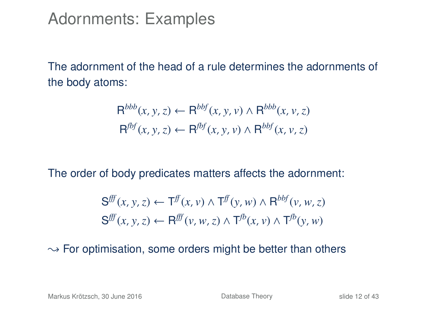Adornments: Examples

The adornment of the head of a rule determines the adornments of the body atoms:

$$
R^{bbb}(x, y, z) \leftarrow R^{bbf}(x, y, v) \land R^{bbb}(x, v, z)
$$
  

$$
R^{fbf}(x, y, z) \leftarrow R^{fbf}(x, y, v) \land R^{bbf}(x, v, z)
$$

The order of body predicates matters affects the adornment:

$$
\begin{aligned} \mathbf{S}^{\text{ff}}(x, y, z) &\leftarrow \mathsf{T}^{\text{ff}}(x, v) \land \mathsf{T}^{\text{ff}}(y, w) \land \mathsf{R}^{\text{bbf}}(v, w, z) \\ \mathbf{S}^{\text{ff}}(x, y, z) &\leftarrow \mathsf{R}^{\text{ff}}(v, w, z) \land \mathsf{T}^{\text{fb}}(x, v) \land \mathsf{T}^{\text{fb}}(y, w) \end{aligned}
$$

 $\rightarrow$  For optimisation, some orders might be better than others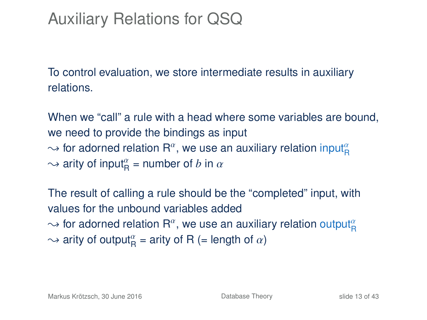# Auxiliary Relations for QSQ

To control evaluation, we store intermediate results in auxiliary relations.

When we "call" a rule with a head where some variables are bound, we need to provide the bindings as input  $\sim$  for adorned relation R<sup>a</sup>, we use an auxiliary relation input $^a_{\mathsf{R}}$  $\rightsquigarrow$  arity of input<sub>R</sub><sup> $\alpha$ </sup> = number of *b* in  $\alpha$ 

The result of calling a rule should be the "completed" input, with values for the unbound variables added  $\sim$  for adorned relation  $\mathsf{R}^{\alpha},$  we use an auxiliary relation output $^{\alpha}_{\mathsf{R}}$  $\sim$  arity of output $_{\mathsf{R}}^{\alpha}$  = arity of R (= length of  $\alpha$ )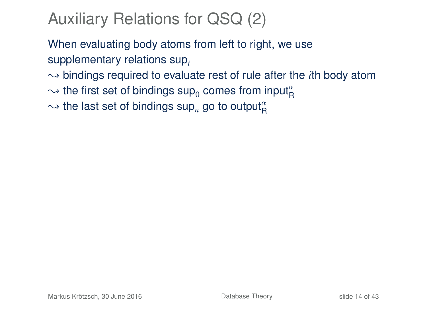# Auxiliary Relations for QSQ (2)

When evaluating body atoms from left to right, we use supplementary relations sup*<sup>i</sup>*

 $\rightarrow$  bindings required to evaluate rest of rule after the *i*th body atom

 $\sim$  the first set of bindings  $\mathsf{sup}_0$  comes from input $^{\alpha}_{\mathsf{R}}$ 

 $\sim$  the last set of bindings sup<sub>n</sub> go to output $^{\alpha}_{\rm R}$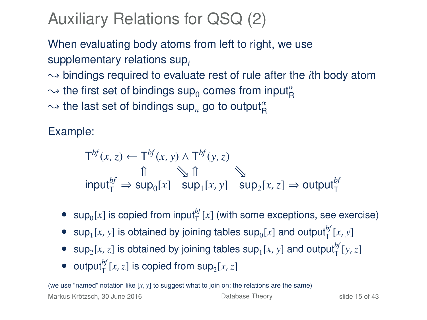# Auxiliary Relations for QSQ (2)

When evaluating body atoms from left to right, we use supplementary relations sup*<sup>i</sup>*

 $\rightarrow$  bindings required to evaluate rest of rule after the *i*th body atom

- $\sim$  the first set of bindings  $\mathsf{sup}_0$  comes from input $^{\alpha}_{\mathsf{R}}$
- $\sim$  the last set of bindings sup<sub>n</sub> go to output $^{\alpha}_{\rm R}$

Example:

$$
T^{bf}(x, z) \leftarrow T^{bf}(x, y) \land T^{bf}(y, z)
$$
  
\n
$$
\uparrow \qquad \qquad \uparrow \qquad \qquad \uparrow \qquad \qquad \uparrow
$$
  
\n
$$
\uparrow \qquad \qquad \uparrow \qquad \qquad \uparrow \qquad \qquad \qquad \uparrow
$$
  
\n
$$
\uparrow \qquad \qquad \downarrow \qquad \qquad \uparrow \qquad \qquad \qquad \downarrow
$$
  
\n
$$
\uparrow \qquad \qquad \downarrow \qquad \qquad \uparrow \qquad \qquad \downarrow
$$
  
\n
$$
\uparrow \qquad \qquad \downarrow \qquad \qquad \downarrow
$$
  
\n
$$
\uparrow \qquad \qquad \downarrow \qquad \qquad \downarrow
$$
  
\n
$$
\uparrow \qquad \qquad \downarrow \qquad \qquad \downarrow
$$
  
\n
$$
\uparrow \qquad \qquad \downarrow \qquad \qquad \downarrow
$$
  
\n
$$
\uparrow \qquad \qquad \downarrow \qquad \qquad \downarrow
$$
  
\n
$$
\downarrow \qquad \qquad \downarrow \qquad \qquad \downarrow
$$
  
\n
$$
\downarrow \qquad \qquad \downarrow \qquad \qquad \downarrow
$$
  
\n
$$
\downarrow \qquad \qquad \downarrow \qquad \qquad \downarrow
$$
  
\n
$$
\downarrow \qquad \qquad \downarrow \qquad \qquad \downarrow
$$
  
\n
$$
\downarrow \qquad \qquad \downarrow \qquad \qquad \downarrow
$$
  
\n
$$
\downarrow \qquad \qquad \downarrow \qquad \qquad \downarrow
$$
  
\n
$$
\downarrow \qquad \qquad \downarrow \qquad \qquad \downarrow
$$
  
\n
$$
\downarrow \qquad \qquad \downarrow \qquad \qquad \downarrow
$$
  
\n
$$
\downarrow \qquad \qquad \downarrow \qquad \qquad \downarrow
$$
  
\n
$$
\downarrow \qquad \qquad \downarrow \qquad \qquad \downarrow
$$
  
\n
$$
\downarrow \qquad \qquad \downarrow \qquad \qquad \downarrow
$$
  
\n
$$
\downarrow \qquad \qquad \downarrow \qquad \qquad \downarrow
$$

- $\sup_{0}[x]$  is copied from input<sup>hf</sup><sub>T</sub> $[x]$  (with some exceptions, see exercise)
- sup<sub>1</sub>[*x*, *y*] is obtained by joining tables sup<sub>0</sub>[*x*] and output<sup>*bf*</sup><sub>1</sub>[*x*, *y*]
- sup<sub>2</sub>[*x*,*z*] is obtained by joining tables sup<sub>1</sub>[*x*, *y*] and output<sup>*bf*</sup></sup>[*y*,*z*]
- output<sup>*bf*</sup><sub> $[T, z]$  is copied from sup<sub>2</sub>[ $x, z$ ]</sub>

(we use "named" notation like [*x*, *y*] to suggest what to join on; the relations are the same)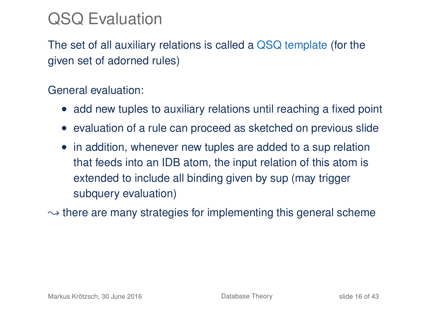# QSQ Evaluation

The set of all auxiliary relations is called a QSQ template (for the given set of adorned rules)

#### General evaluation:

- add new tuples to auxiliary relations until reaching a fixed point
- evaluation of a rule can proceed as sketched on previous slide
- in addition, whenever new tuples are added to a sup relation that feeds into an IDB atom, the input relation of this atom is extended to include all binding given by sup (may trigger subquery evaluation)

 $\rightarrow$  there are many strategies for implementing this general scheme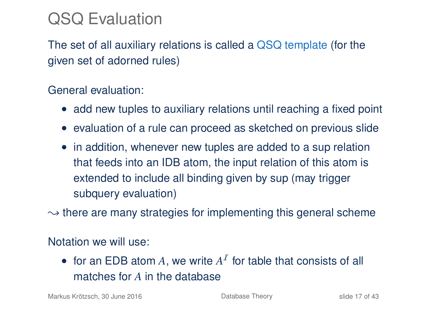# QSQ Evaluation

The set of all auxiliary relations is called a QSQ template (for the given set of adorned rules)

#### General evaluation:

- add new tuples to auxiliary relations until reaching a fixed point
- evaluation of a rule can proceed as sketched on previous slide
- in addition, whenever new tuples are added to a sup relation that feeds into an IDB atom, the input relation of this atom is extended to include all binding given by sup (may trigger subquery evaluation)
- $\rightarrow$  there are many strategies for implementing this general scheme

#### Notation we will use:

• for an EDB atom  $A$ , we write  $A<sup>T</sup>$  for table that consists of all matches for *A* in the database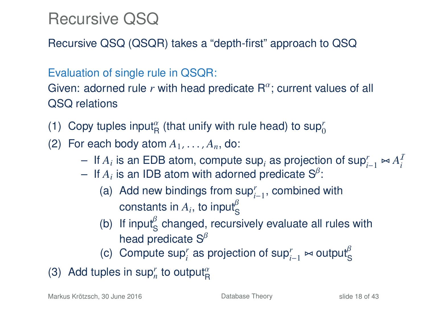# Recursive QSQ

Recursive QSQ (QSQR) takes a "depth-first" approach to QSQ

Evaluation of single rule in QSQR:

Given: adorned rule  $r$  with head predicate  $R^{\alpha}$ ; current values of all QSQ relations

- (1) Copy tuples input<sup> $\alpha$ </sup> (that unify with rule head) to sup<sup>*r*</sup>
- (2) For each body atom  $A_1, \ldots, A_n$ , do:
	- $-$  If *A<sub>i</sub>* is an EDB atom, compute sup<sub>*i*</sub></sub> as projection of sup<sup>*r*</sup><sub>*i*−1</sub>  $\Join A_i^T$ <br>  $-$  If *A*⋅is an IDB atom with adorned predicate  $S^\beta$
	- $-$  If  $A_i$  is an IDB atom with adorned predicate  $S^{\beta}$ :
		- (a) Add new bindings from sup*<sup>r</sup> i*−1 , combined with constants in  $A_i$ , to input<sup> $\beta$ </sup>
		- (b) If input changed, recursively evaluate all rules with head predicate  $S^{\beta}$
		- (c) Compute sup<sup>*r*</sup> as projection of sup<sup>*r*</sup><sub> $i-1$ </sub>  $\thickapprox$  output<sup>β</sup>
- (3) Add tuples in sup<sup>r</sup><sub>n</sub> to output<sup> $\alpha$ </sup><sub>R</sub>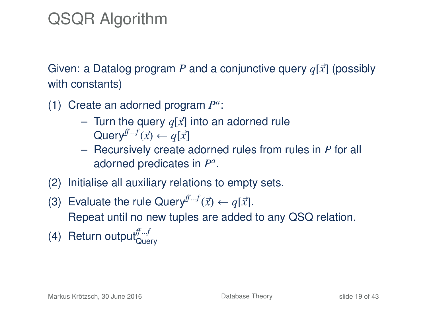# QSQR Algorithm

Given: a Datalog program P and a conjunctive query  $q[\vec{x}]$  (possibly with constants)

- (1) Create an adorned program  $P^a$ :
	- Turn the query  $q[\vec{x}]$  into an adorned rule  $\mathsf{Query}^{\bar{f}\cdots f}(\vec{x}) \leftarrow q[\vec{x}]$ <br>Recursively create:
	- Recursively create adorned rules from rules in *P* for all adorned predicates in *P a* .
- (2) Initialise all auxiliary relations to empty sets.
- (3) Evaluate the rule Query<sup> $f^{f-f}(\vec{x}) \leftarrow q[\vec{x}]$ .<br>
Repeat until no now tuples are added.</sup> Repeat until no new tuples are added to any QSQ relation.
- (4) Return output<sup>ff...f</sup>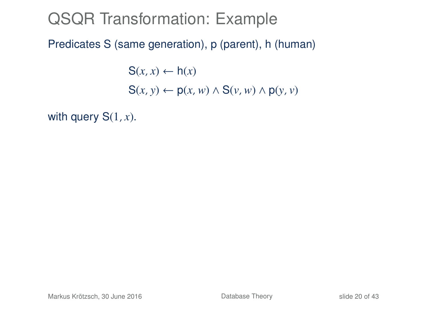Predicates S (same generation), p (parent), h (human)

 $S(x, x) \leftarrow h(x)$  $S(x, y) \leftarrow p(x, w) \wedge S(y, w) \wedge p(y, y)$ 

with query  $S(1, x)$ .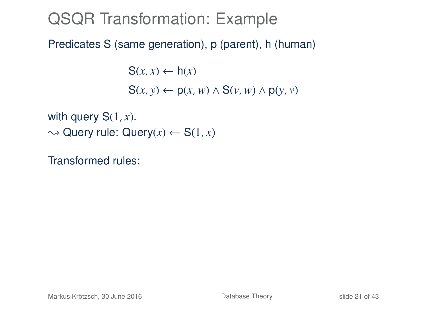Predicates S (same generation), p (parent), h (human)

 $S(x, x) \leftarrow h(x)$  $S(x, y) \leftarrow p(x, w) \wedge S(y, w) \wedge p(y, y)$ 

with query S(1, *x*).  $\rightarrow$  Query rule: Query(x)  $\leftarrow$  S(1, x)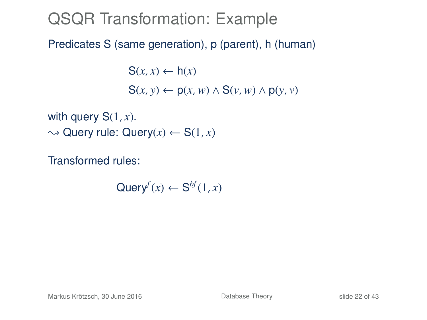Predicates S (same generation), p (parent), h (human)

 $S(x, x) \leftarrow h(x)$  $S(x, y) \leftarrow p(x, w) \wedge S(y, w) \wedge p(y, y)$ 

with query S(1, *x*).  $\rightarrow$  Query rule: Query(x)  $\leftarrow$  S(1, x)

Transformed rules:

 $\mathsf{Query}^f(x) \leftarrow \mathsf{S}^{bf}(1,x)$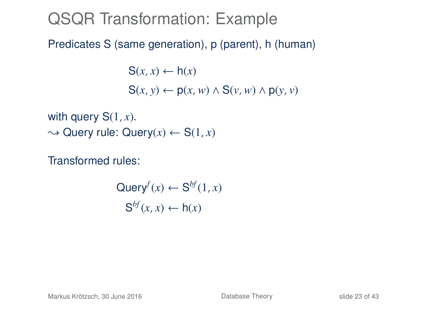Predicates S (same generation), p (parent), h (human)

 $S(x, x) \leftarrow h(x)$  $S(x, y) \leftarrow p(x, w) \wedge S(y, w) \wedge p(y, y)$ 

with query S(1, *x*).  $\rightarrow$  Query rule: Query(x)  $\leftarrow$  S(1, x)

$$
\text{Query}^f(x) \leftarrow \text{S}^{bf}(1, x)
$$

$$
\text{S}^{bf}(x, x) \leftarrow \text{h}(x)
$$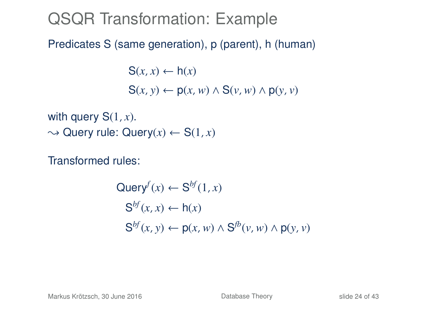Predicates S (same generation), p (parent), h (human)

 $S(x, x) \leftarrow h(x)$  $S(x, y) \leftarrow p(x, w) \wedge S(y, w) \wedge p(y, y)$ 

with query S(1, *x*).  $\rightarrow$  Query rule: Query(x)  $\leftarrow$  S(1, x)

$$
Queryf(x) \leftarrow Sbf(1, x)
$$
  
\n
$$
Sbf(x, x) \leftarrow h(x)
$$
  
\n
$$
Sbf(x, y) \leftarrow p(x, w) \land Sfb(v, w) \land p(y, v)
$$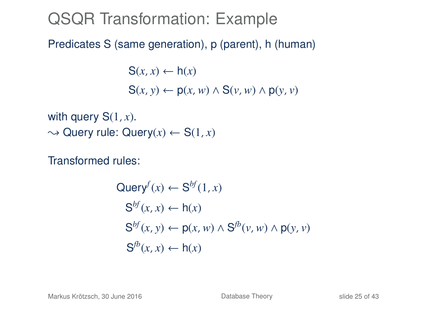Predicates S (same generation), p (parent), h (human)

 $S(x, x) \leftarrow h(x)$  $S(x, y) \leftarrow p(x, w) \wedge S(y, w) \wedge p(y, y)$ 

with query S(1, *x*).  $\rightarrow$  Query rule: Query(x)  $\leftarrow$  S(1, x)

$$
Query^{f}(x) \leftarrow S^{bf}(1, x)
$$
  
\n
$$
S^{bf}(x, x) \leftarrow h(x)
$$
  
\n
$$
S^{bf}(x, y) \leftarrow p(x, w) \land S^{fb}(v, w) \land p(y, v)
$$
  
\n
$$
S^{fb}(x, x) \leftarrow h(x)
$$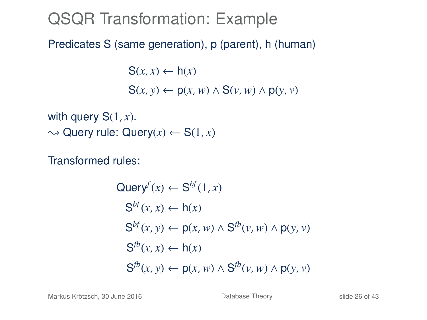Predicates S (same generation), p (parent), h (human)

 $S(x, x) \leftarrow h(x)$  $S(x, y) \leftarrow p(x, w) \wedge S(y, w) \wedge p(y, y)$ 

with query S(1, *x*).  $\rightarrow$  Query rule: Query(x)  $\leftarrow$  S(1, x)

$$
Query^{f}(x) \leftarrow S^{bf}(1, x)
$$
  
\n
$$
S^{bf}(x, x) \leftarrow h(x)
$$
  
\n
$$
S^{bf}(x, y) \leftarrow p(x, w) \land S^{fb}(v, w) \land p(y, v)
$$
  
\n
$$
S^{fb}(x, x) \leftarrow h(x)
$$
  
\n
$$
S^{fb}(x, y) \leftarrow p(x, w) \land S^{fb}(v, w) \land p(y, v)
$$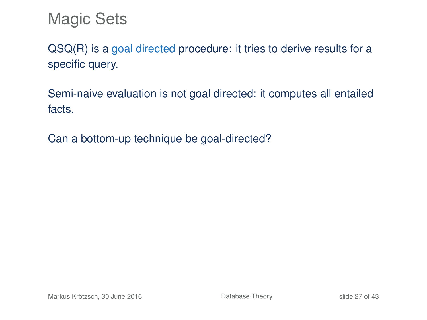Magic Sets

QSQ(R) is a goal directed procedure: it tries to derive results for a specific query.

Semi-naive evaluation is not goal directed: it computes all entailed facts.

Can a bottom-up technique be goal-directed?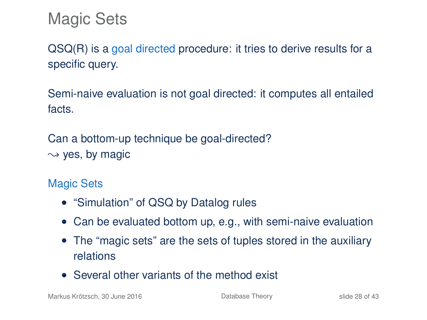Magic Sets

QSQ(R) is a goal directed procedure: it tries to derive results for a specific query.

Semi-naive evaluation is not goal directed: it computes all entailed facts.

Can a bottom-up technique be goal-directed?  $\rightarrow$  yes, by magic

Magic Sets

- "Simulation" of QSQ by Datalog rules
- Can be evaluated bottom up, e.g., with semi-naive evaluation
- The "magic sets" are the sets of tuples stored in the auxiliary relations
- Several other variants of the method exist

Markus Krötzsch, 30 June 2016 **[Database Theory](#page-0-0) Database Theory** slide 28 of 43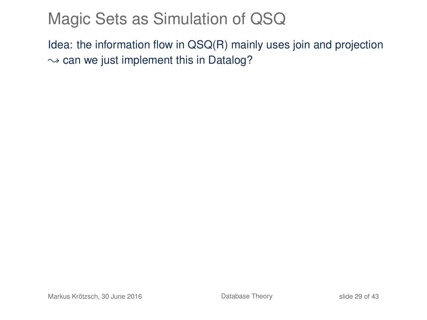# Magic Sets as Simulation of QSQ

Idea: the information flow in QSQ(R) mainly uses join and projection  $\rightarrow$  can we just implement this in Datalog?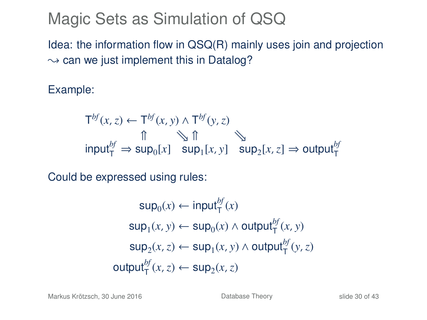# Magic Sets as Simulation of QSQ

Idea: the information flow in QSQ(R) mainly uses join and projection  $\rightarrow$  can we just implement this in Datalog?

Example:

$$
T^{bf}(x, z) \leftarrow T^{bf}(x, y) \land T^{bf}(y, z)
$$
  
\n
$$
\uparrow \qquad \qquad \uparrow \qquad \qquad \uparrow \qquad \qquad \uparrow
$$
  
\n
$$
\uparrow \qquad \qquad \uparrow \qquad \qquad \uparrow \qquad \qquad \qquad \uparrow
$$
  
\n
$$
\uparrow \qquad \qquad \downarrow \qquad \qquad \uparrow
$$
  
\n
$$
\uparrow \qquad \qquad \downarrow \qquad \qquad \uparrow
$$
  
\n
$$
\uparrow \qquad \qquad \downarrow \qquad \qquad \downarrow
$$
  
\n
$$
\uparrow \qquad \qquad \downarrow \qquad \qquad \downarrow
$$
  
\n
$$
\uparrow \qquad \qquad \downarrow \qquad \qquad \downarrow
$$
  
\n
$$
\uparrow \qquad \qquad \downarrow \qquad \qquad \downarrow
$$
  
\n
$$
\uparrow \qquad \qquad \downarrow \qquad \qquad \downarrow
$$
  
\n
$$
\downarrow \qquad \qquad \downarrow \qquad \qquad \downarrow
$$
  
\n
$$
\downarrow \qquad \qquad \downarrow \qquad \qquad \downarrow
$$
  
\n
$$
\downarrow \qquad \qquad \downarrow \qquad \qquad \downarrow
$$
  
\n
$$
\downarrow \qquad \qquad \downarrow \qquad \qquad \downarrow
$$
  
\n
$$
\downarrow \qquad \qquad \downarrow \qquad \qquad \downarrow
$$
  
\n
$$
\downarrow \qquad \qquad \downarrow \qquad \qquad \downarrow \qquad \qquad \downarrow
$$

Could be expressed using rules:

$$
\sup_{0}(x) \leftarrow \text{input}_{T}^{bf}(x)
$$
\n
$$
\sup_{1}(x, y) \leftarrow \sup_{0}(x) \land \text{output}_{T}^{bf}(x, y)
$$
\n
$$
\sup_{2}(x, z) \leftarrow \sup_{1}(x, y) \land \text{output}_{T}^{bf}(y, z)
$$
\n
$$
\text{output}_{T}^{bf}(x, z) \leftarrow \sup_{2}(x, z)
$$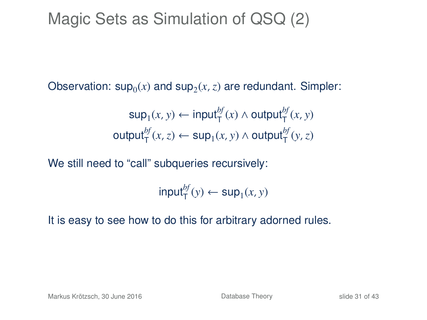# Magic Sets as Simulation of QSQ (2)

Observation:  $sup_0(x)$  and  $sup_2(x, z)$  are redundant. Simpler:

$$
\sup_1(x, y) \leftarrow \text{input}^{bf}_{\text{T}}(x) \land \text{output}^{bf}_{\text{T}}(x, y)
$$
\n
$$
\text{output}^{bf}_{\text{T}}(x, z) \leftarrow \text{sup}_1(x, y) \land \text{output}^{bf}_{\text{T}}(y, z)
$$

We still need to "call" subqueries recursively:

 $\mathsf{input}^{bf}_{\mathsf{T}}(y) \leftarrow \mathsf{sup}_1(x, y)$ 

It is easy to see how to do this for arbitrary adorned rules.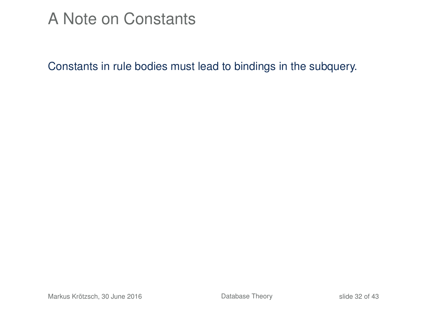### A Note on Constants

Constants in rule bodies must lead to bindings in the subquery.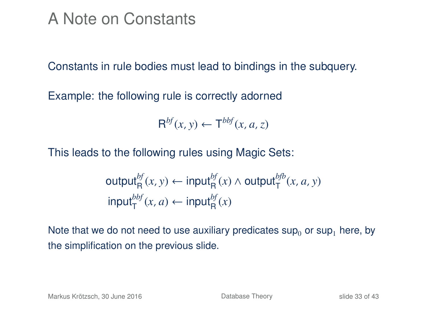### A Note on Constants

Constants in rule bodies must lead to bindings in the subquery.

Example: the following rule is correctly adorned

$$
\mathsf{R}^{bf}(x,y) \leftarrow \mathsf{T}^{bbf}(x,a,z)
$$

This leads to the following rules using Magic Sets:

$$
\begin{aligned}\n\text{output}_{\mathsf{R}}^{bf}(x, y) &\leftarrow \text{input}_{\mathsf{R}}^{bf}(x) \land \text{output}_{\mathsf{T}}^{bfb}(x, a, y) \\
\text{input}_{\mathsf{T}}^{bbf}(x, a) &\leftarrow \text{input}_{\mathsf{R}}^{bf}(x)\n\end{aligned}
$$

Note that we do not need to use auxiliary predicates  $\sup_0$  or sup<sub>1</sub> here, by the simplification on the previous slide.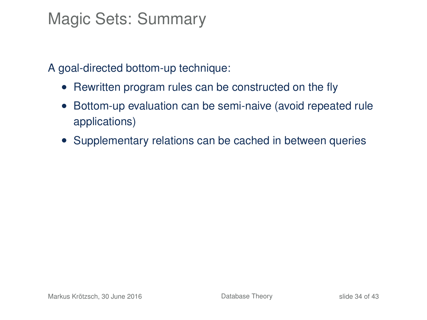### Magic Sets: Summary

A goal-directed bottom-up technique:

- Rewritten program rules can be constructed on the fly
- Bottom-up evaluation can be semi-naive (avoid repeated rule applications)
- Supplementary relations can be cached in between queries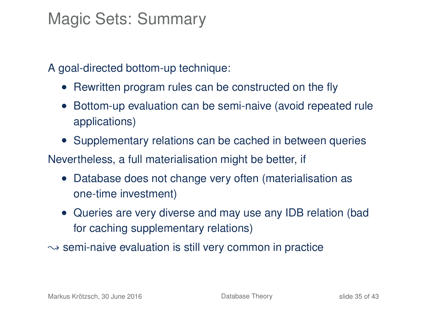### Magic Sets: Summary

A goal-directed bottom-up technique:

- Rewritten program rules can be constructed on the fly
- Bottom-up evaluation can be semi-naive (avoid repeated rule applications)
- Supplementary relations can be cached in between queries

Nevertheless, a full materialisation might be better, if

- Database does not change very often (materialisation as one-time investment)
- Queries are very diverse and may use any IDB relation (bad for caching supplementary relations)
- $\rightarrow$  semi-naive evaluation is still very common in practice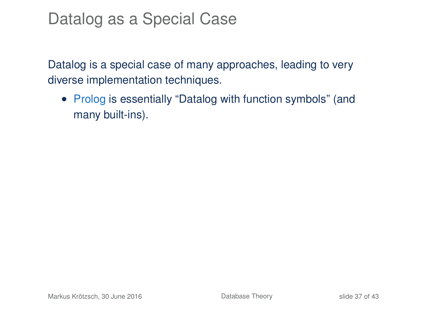Datalog is a special case of many approaches, leading to very diverse implementation techniques.

• Prolog is essentially "Datalog with function symbols" (and many built-ins).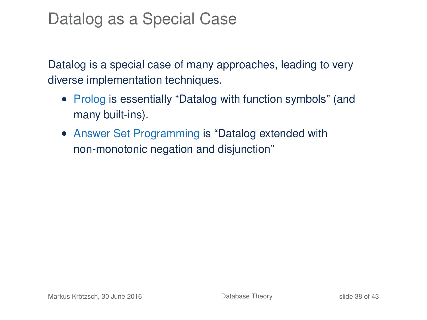- Prolog is essentially "Datalog with function symbols" (and many built-ins).
- Answer Set Programming is "Datalog extended with non-monotonic negation and disjunction"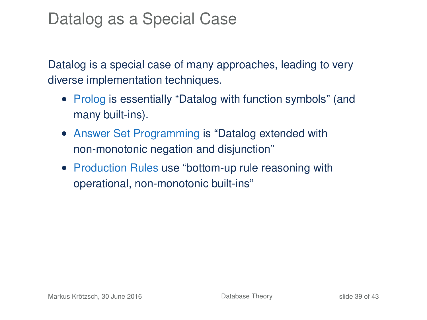- Prolog is essentially "Datalog with function symbols" (and many built-ins).
- Answer Set Programming is "Datalog extended with non-monotonic negation and disjunction"
- Production Rules use "bottom-up rule reasoning with operational, non-monotonic built-ins"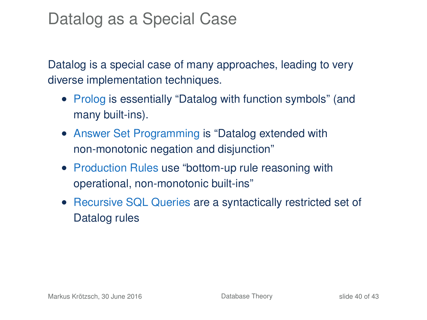- Prolog is essentially "Datalog with function symbols" (and many built-ins).
- Answer Set Programming is "Datalog extended with non-monotonic negation and disjunction"
- Production Rules use "bottom-up rule reasoning with operational, non-monotonic built-ins"
- Recursive SQL Queries are a syntactically restricted set of Datalog rules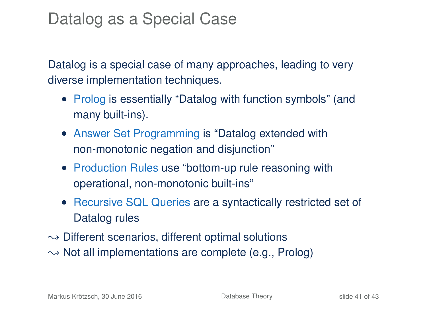- Prolog is essentially "Datalog with function symbols" (and many built-ins).
- Answer Set Programming is "Datalog extended with non-monotonic negation and disjunction"
- Production Rules use "bottom-up rule reasoning with operational, non-monotonic built-ins"
- Recursive SQL Queries are a syntactically restricted set of Datalog rules
- $\rightarrow$  Different scenarios, different optimal solutions
- $\rightarrow$  Not all implementations are complete (e.g., Prolog)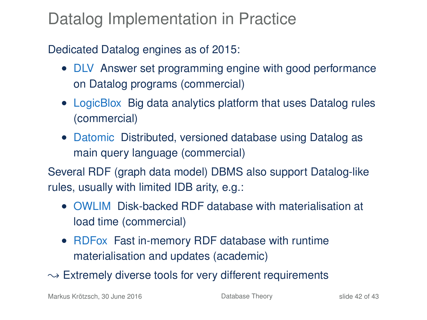### Datalog Implementation in Practice

#### Dedicated Datalog engines as of 2015:

- DLV Answer set programming engine with good performance on Datalog programs (commercial)
- LogicBlox Big data analytics platform that uses Datalog rules (commercial)
- Datomic Distributed, versioned database using Datalog as main query language (commercial)

Several RDF (graph data model) DBMS also support Datalog-like rules, usually with limited IDB arity, e.g.:

- OWLIM Disk-backed RDF database with materialisation at load time (commercial)
- RDFox Fast in-memory RDF database with runtime materialisation and updates (academic)

 $\rightarrow$  Extremely diverse tools for very different requirements